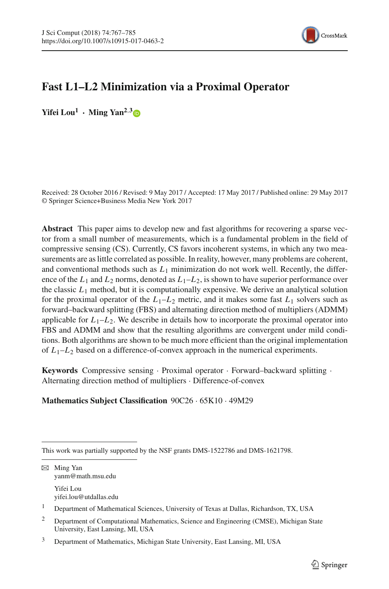

# **Fast L1–L2 Minimization via a Proximal Operator**

**Yifei** Lou<sup>1</sup> **• Ming Yan**<sup>2,[3](http://orcid.org/0000-0002-8686-3530)</sup>

Received: 28 October 2016 / Revised: 9 May 2017 / Accepted: 17 May 2017 / Published online: 29 May 2017 © Springer Science+Business Media New York 2017

**Abstract** This paper aims to develop new and fast algorithms for recovering a sparse vector from a small number of measurements, which is a fundamental problem in the field of compressive sensing (CS). Currently, CS favors incoherent systems, in which any two measurements are as little correlated as possible. In reality, however, many problems are coherent, and conventional methods such as  $L_1$  minimization do not work well. Recently, the difference of the  $L_1$  and  $L_2$  norms, denoted as  $L_1 - L_2$ , is shown to have superior performance over the classic  $L_1$  method, but it is computationally expensive. We derive an analytical solution for the proximal operator of the  $L_1-L_2$  metric, and it makes some fast  $L_1$  solvers such as forward–backward splitting (FBS) and alternating direction method of multipliers (ADMM) applicable for  $L_1 - L_2$ . We describe in details how to incorporate the proximal operator into FBS and ADMM and show that the resulting algorithms are convergent under mild conditions. Both algorithms are shown to be much more efficient than the original implementation of  $L_1-L_2$  based on a difference-of-convex approach in the numerical experiments.

**Keywords** Compressive sensing · Proximal operator · Forward–backward splitting · Alternating direction method of multipliers · Difference-of-convex

### **Mathematics Subject Classification** 90C26 · 65K10 · 49M29

B Ming Yan yanm@math.msu.edu Yifei Lou

yifei.lou@utdallas.edu

<sup>1</sup> Department of Mathematical Sciences, University of Texas at Dallas, Richardson, TX, USA

This work was partially supported by the NSF grants DMS-1522786 and DMS-1621798.

<sup>&</sup>lt;sup>2</sup> Department of Computational Mathematics, Science and Engineering (CMSE), Michigan State University, East Lansing, MI, USA

<sup>3</sup> Department of Mathematics, Michigan State University, East Lansing, MI, USA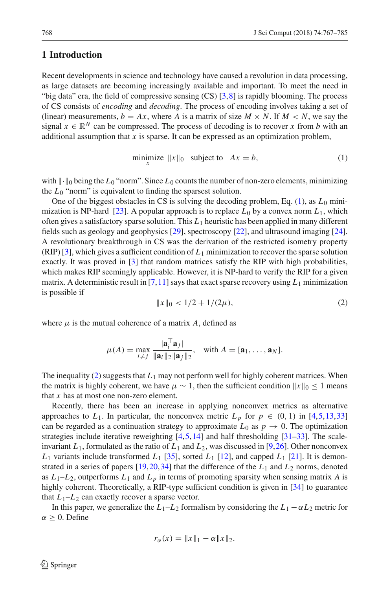#### **1 Introduction**

Recent developments in science and technology have caused a revolution in data processing, as large datasets are becoming increasingly available and important. To meet the need in "big data" era, the field of compressive sensing (CS) [\[3,](#page-17-0)[8](#page-17-1)] is rapidly blooming. The process of CS consists of *encoding* and *decoding*. The process of encoding involves taking a set of (linear) measurements,  $b = Ax$ , where A is a matrix of size  $M \times N$ . If  $M \times N$ , we say the signal  $x \in \mathbb{R}^N$  can be compressed. The process of decoding is to recover x from *b* with an additional assumption that *x* is sparse. It can be expressed as an optimization problem,

<span id="page-1-0"></span>
$$
\underset{x}{\text{minimize}} \ \|x\|_0 \quad \text{subject to} \quad Ax = b,\tag{1}
$$

with  $\|\cdot\|_0$  being the  $L_0$  "norm". Since  $L_0$  counts the number of non-zero elements, minimizing the  $L_0$  "norm" is equivalent to finding the sparsest solution.

One of the biggest obstacles in CS is solving the decoding problem, Eq.  $(1)$ , as  $L_0$  mini-mization is NP-hard [\[23](#page-17-2)]. A popular approach is to replace  $L_0$  by a convex norm  $L_1$ , which often gives a satisfactory sparse solution. This *L*<sup>1</sup> heuristic has been applied in many different fields such as geology and geophysics [\[29](#page-17-3)], spectroscopy [\[22](#page-17-4)], and ultrasound imaging [\[24\]](#page-17-5). A revolutionary breakthrough in CS was the derivation of the restricted isometry property (RIP) [\[3\]](#page-17-0), which gives a sufficient condition of *L*<sup>1</sup> minimization to recover the sparse solution exactly. It was proved in [\[3\]](#page-17-0) that random matrices satisfy the RIP with high probabilities, which makes RIP seemingly applicable. However, it is NP-hard to verify the RIP for a given matrix. A deterministic result in [\[7](#page-17-6)[,11\]](#page-17-7) says that exact sparse recovery using  $L_1$  minimization is possible if

<span id="page-1-1"></span>
$$
||x||_0 < 1/2 + 1/(2\mu),\tag{2}
$$

where  $\mu$  is the mutual coherence of a matrix A, defined as

$$
\mu(A) = \max_{i \neq j} \frac{|\mathbf{a}_i^{\top} \mathbf{a}_j|}{\|\mathbf{a}_i\|_2 \|\mathbf{a}_j\|_2}, \quad \text{with } A = [\mathbf{a}_1, \dots, \mathbf{a}_N].
$$

The inequality [\(2\)](#page-1-1) suggests that *L*<sup>1</sup> may not perform well for highly coherent matrices. When the matrix is highly coherent, we have  $\mu \sim 1$ , then the sufficient condition  $||x||_0 \le 1$  means that *x* has at most one non-zero element.

Recently, there has been an increase in applying nonconvex metrics as alternative approaches to  $L_1$ . In particular, the nonconvex metric  $L_p$  for  $p \in (0, 1)$  in [\[4](#page-17-8)[,5,](#page-17-9)[13](#page-17-10)[,33\]](#page-18-0) can be regarded as a continuation strategy to approximate  $L_0$  as  $p \to 0$ . The optimization strategies include iterative reweighting  $[4,5,14]$  $[4,5,14]$  $[4,5,14]$  and half thresholding  $[31-33]$  $[31-33]$ . The scaleinvariant  $L_1$ , formulated as the ratio of  $L_1$  and  $L_2$ , was discussed in [\[9,](#page-17-13)[26](#page-17-14)]. Other nonconvex  $L_1$  variants include transformed  $L_1$  [\[35](#page-18-1)], sorted  $L_1$  [\[12](#page-17-15)], and capped  $L_1$  [\[21](#page-17-16)]. It is demonstrated in a series of papers [\[19,](#page-17-17)[20](#page-17-18)[,34\]](#page-18-2) that the difference of the *L*<sup>1</sup> and *L*<sup>2</sup> norms, denoted as  $L_1-L_2$ , outperforms  $L_1$  and  $L_p$  in terms of promoting sparsity when sensing matrix A is highly coherent. Theoretically, a RIP-type sufficient condition is given in [\[34\]](#page-18-2) to guarantee that  $L_1-L_2$  can exactly recover a sparse vector.

In this paper, we generalize the  $L_1 - L_2$  formalism by considering the  $L_1 - \alpha L_2$  metric for  $\alpha > 0$ . Define

$$
r_{\alpha}(x) = \|x\|_1 - \alpha \|x\|_2.
$$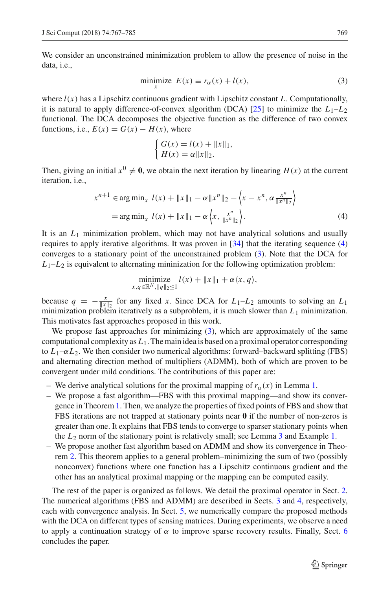We consider an unconstrained minimization problem to allow the presence of noise in the data, i.e.,

$$
\min_{x} \text{imize } E(x) \equiv r_{\alpha}(x) + l(x),\tag{3}
$$

where  $l(x)$  has a Lipschitz continuous gradient with Lipschitz constant *L*. Computationally, it is natural to apply difference-of-convex algorithm (DCA) [\[25](#page-17-19)] to minimize the  $L_1-L_2$ functional. The DCA decomposes the objective function as the difference of two convex functions, i.e.,  $E(x) = G(x) - H(x)$ , where

<span id="page-2-1"></span><span id="page-2-0"></span>
$$
\begin{cases} G(x) = l(x) + ||x||_1, \\ H(x) = \alpha ||x||_2. \end{cases}
$$

Then, giving an initial  $x^0 \neq 0$ , we obtain the next iteration by linearing  $H(x)$  at the current iteration, i.e.,

$$
x^{n+1} \in \arg\min_{x} l(x) + ||x||_1 - \alpha ||x^n||_2 - \left\langle x - x^n, \alpha \frac{x^n}{||x^n||_2} \right\rangle
$$
  
= 
$$
\arg\min_{x} l(x) + ||x||_1 - \alpha \left\langle x, \frac{x^n}{||x^n||_2} \right\rangle.
$$
 (4)

It is an *L*<sup>1</sup> minimization problem, which may not have analytical solutions and usually requires to apply iterative algorithms. It was proven in [\[34](#page-18-2)] that the iterating sequence [\(4\)](#page-2-0) converges to a stationary point of the unconstrained problem [\(3\)](#page-2-1). Note that the DCA for  $L_1-L_2$  is equivalent to alternating mininization for the following optimization problem:

$$
\underset{x,q\in\mathbb{R}^N,\|q\|_2\leq 1}{\text{minimize}} l(x) + \|x\|_1 + \alpha \langle x,q \rangle,
$$

because  $q = -\frac{x}{\|x\|_2}$  for any fixed *x*. Since DCA for  $L_1-L_2$  amounts to solving an  $L_1$ minimization problem iteratively as a subproblem, it is much slower than  $L_1$  minimization. This motivates fast approaches proposed in this work.

We propose fast approaches for minimizing  $(3)$ , which are approximately of the same computational complexity as *L*1. The main idea is based on a proximal operator corresponding to  $L_1-\alpha L_2$ . We then consider two numerical algorithms: forward–backward splitting (FBS) and alternating direction method of multipliers (ADMM), both of which are proven to be convergent under mild conditions. The contributions of this paper are:

- We derive analytical solutions for the proximal mapping of  $r_\alpha(x)$  in Lemma [1.](#page-3-0)
- We propose a fast algorithm—FBS with this proximal mapping—and show its convergence in Theorem [1.](#page-5-0) Then, we analyze the properties of fixed points of FBS and show that FBS iterations are not trapped at stationary points near **0** if the number of non-zeros is greater than one. It explains that FBS tends to converge to sparser stationary points when the *L*<sup>2</sup> norm of the stationary point is relatively small; see Lemma [3](#page-6-0) and Example [1.](#page-7-0)
- We propose another fast algorithm based on ADMM and show its convergence in Theorem [2.](#page-10-0) This theorem applies to a general problem–minimizing the sum of two (possibly nonconvex) functions where one function has a Lipschitz continuous gradient and the other has an analytical proximal mapping or the mapping can be computed easily.

The rest of the paper is organized as follows. We detail the proximal operator in Sect. [2.](#page-3-1) The numerical algorithms (FBS and ADMM) are described in Sects. [3](#page-5-1) and [4,](#page-8-0) respectively, each with convergence analysis. In Sect. [5,](#page-11-0) we numerically compare the proposed methods with the DCA on different types of sensing matrices. During experiments, we observe a need to apply a continuation strategy of  $\alpha$  to improve sparse recovery results. Finally, Sect. [6](#page-16-0) concludes the paper.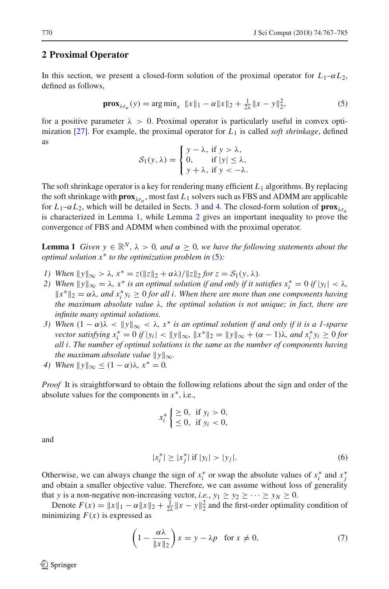#### <span id="page-3-1"></span>**2 Proximal Operator**

In this section, we present a closed-form solution of the proximal operator for  $L_1-\alpha L_2$ , defined as follows,

<span id="page-3-2"></span>
$$
\mathbf{prox}_{\lambda r_{\alpha}}(y) = \arg \min_{x} \|x\|_1 - \alpha \|x\|_2 + \frac{1}{2\lambda} \|x - y\|_2^2,\tag{5}
$$

for a positive parameter  $\lambda > 0$ . Proximal operator is particularly useful in convex opti-mization [\[27\]](#page-17-20). For example, the proximal operator for  $L_1$  is called *soft shrinkage*, defined as

$$
S_1(y, \lambda) = \begin{cases} y - \lambda, & \text{if } y > \lambda, \\ 0, & \text{if } |y| \le \lambda, \\ y + \lambda, & \text{if } y < -\lambda. \end{cases}
$$

The soft shrinkage operator is a key for rendering many efficient  $L_1$  algorithms. By replacing the soft shrinkage with  $prox_{\lambda r_{\alpha}}$ , most fast  $L_1$  solvers such as FBS and ADMM are applicable for  $L_1$ – $\alpha L_2$ , which will be detailed in Sects. [3](#page-5-1) and [4.](#page-8-0) The closed-form solution of **prox**<sub> $\lambda r_{\alpha}$ </sub> is characterized in Lemma [1,](#page-3-0) while Lemma [2](#page-4-0) gives an important inequality to prove the convergence of FBS and ADMM when combined with the proximal operator.

<span id="page-3-0"></span>**Lemma 1** *Given*  $y \in \mathbb{R}^N$ ,  $\lambda > 0$ *, and*  $\alpha \ge 0$ *, we have the following statements about the optimal solution x*∗ *to the optimization problem in* [\(5\)](#page-3-2)*:*

- *1)* When  $||y||_{\infty} > \lambda$ ,  $x^* = z(||z||_2 + \alpha \lambda) / ||z||_2$  for  $z = S_1(y, \lambda)$ .
- *2)* When  $||y||_{\infty} = \lambda$ ,  $x^*$  *is an optimal solution if and only if it satisfies*  $x_i^* = 0$  *if*  $|y_i| < \lambda$ ,  $||x^*||_2 = \alpha \lambda$ , and  $x_i^* y_i \geq 0$  for all *i*. When there are more than one components having *the maximum absolute value* λ*, the optimal solution is not unique; in fact, there are infinite many optimal solutions.*
- *3) When*  $(1 \alpha)\lambda < ||y||_{\infty} < \lambda$ ,  $x^*$  *is an optimal solution if and only if it is a 1-sparse vector satisfying*  $x_i^* = 0$  *if*  $|y_i| < ||y||_{\infty}$ ,  $||x^*||_2 = ||y||_{\infty} + (\alpha - 1)\lambda$ , and  $x_i^* y_i \ge 0$  for *all i. The number of optimal solutions is the same as the number of components having the maximum absolute value*  $||y||_{\infty}$ *.*
- *4)* When  $||y||_{\infty} \leq (1 \alpha)\lambda$ ,  $x^* = 0$ .

*Proof* It is straightforward to obtain the following relations about the sign and order of the absolute values for the components in *x*∗, i.e.,

<span id="page-3-4"></span>
$$
x_i^* \begin{cases} \geq 0, & \text{if } y_i > 0, \\ \leq 0, & \text{if } y_i < 0, \end{cases}
$$

and

$$
|x_i^*| \ge |x_j^*| \text{ if } |y_i| > |y_j|. \tag{6}
$$

Otherwise, we can always change the sign of  $x_i^*$  or swap the absolute values of  $x_i^*$  and  $x_j^*$ and obtain a smaller objective value. Therefore, we can assume without loss of generality that *y* is a non-negative non-increasing vector, *i.e.*,  $y_1 \ge y_2 \ge \cdots \ge y_N \ge 0$ .

Denote  $F(x) = ||x||_1 - \alpha ||x||_2 + \frac{1}{2\lambda} ||x - y||_2^2$  and the first-order optimality condition of minimizing  $F(x)$  is expressed as

<span id="page-3-3"></span>
$$
\left(1 - \frac{\alpha \lambda}{\|x\|_2}\right) x = y - \lambda p \quad \text{for } x \neq 0,
$$
\n<sup>(7)</sup>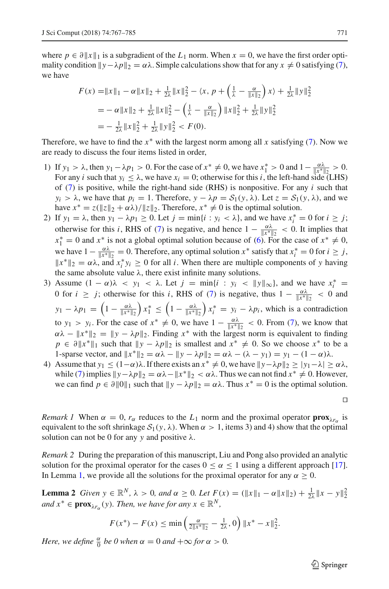where  $p \in \partial ||x||_1$  is a subgradient of the  $L_1$  norm. When  $x = 0$ , we have the first order optimality condition  $\|y-\lambda p\|_2 = \alpha\lambda$ . Simple calculations show that for any  $x \neq 0$  satisfying [\(7\)](#page-3-3), we have

$$
F(x) = \|x\|_1 - \alpha \|x\|_2 + \frac{1}{2\lambda} \|x\|_2^2 - \langle x, p + \left(\frac{1}{\lambda} - \frac{\alpha}{\|x\|_2}\right) x \rangle + \frac{1}{2\lambda} \|y\|_2^2
$$
  
=  $-\alpha \|x\|_2 + \frac{1}{2\lambda} \|x\|_2^2 - \left(\frac{1}{\lambda} - \frac{\alpha}{\|x\|_2}\right) \|x\|_2^2 + \frac{1}{2\lambda} \|y\|_2^2$   
=  $-\frac{1}{2\lambda} \|x\|_2^2 + \frac{1}{2\lambda} \|y\|_2^2 < F(0).$ 

Therefore, we have to find the *x*∗ with the largest norm among all *x* satisfying [\(7\)](#page-3-3). Now we are ready to discuss the four items listed in order,

- 1) If  $y_1 > \lambda$ , then  $y_1 \lambda p_1 > 0$ . For the case of  $x^* \neq 0$ , we have  $x_1^* > 0$  and  $1 \frac{\alpha \lambda}{\|x^*\|_2} > 0$ . For any *i* such that  $y_i \leq \lambda$ , we have  $x_i = 0$ ; otherwise for this *i*, the left-hand side (LHS) of [\(7\)](#page-3-3) is positive, while the right-hand side (RHS) is nonpositive. For any *i* such that  $y_i > \lambda$ , we have that  $p_i = 1$ . Therefore,  $y - \lambda p = S_1(y, \lambda)$ . Let  $z = S_1(y, \lambda)$ , and we have  $x^* = z(\|z\|_2 + \alpha \lambda) / \|z\|_2$ . Therefore,  $x^* \neq 0$  is the optimal solution.
- 2) If  $y_1 = \lambda$ , then  $y_1 \lambda p_1 \ge 0$ . Let  $j = \min\{i : y_i < \lambda\}$ , and we have  $x_i^* = 0$  for  $i \ge j$ ; otherwise for this *i*, RHS of [\(7\)](#page-3-3) is negative, and hence  $1 - \frac{\alpha \lambda}{\|x^*\|_2} < 0$ . It implies that  $x_1^* = 0$  and  $x^*$  is not a global optimal solution because of [\(6\)](#page-3-4). For the case of  $x^* \neq 0$ , we have  $1 - \frac{\alpha \lambda}{\|x^*\|_2} = 0$ . Therefore, any optimal solution  $x^*$  satisfy that  $x_i^* = 0$  for  $i \ge j$ ,  $||x^*||_2 = \alpha \lambda$ , and  $x_i^* y_i \ge 0$  for all *i*. When there are multiple components of *y* having the same absolute value  $\lambda$ , there exist infinite many solutions.
- 3) Assume  $(1 \alpha)\lambda < y_1 < \lambda$ . Let  $j = \min\{i : y_i < ||y||_{\infty}\}\)$ , and we have  $x_i^* =$ 0 for  $i \ge j$ ; otherwise for this *i*, RHS of [\(7\)](#page-3-3) is negative, thus  $1 - \frac{\alpha \lambda}{\|x^*\|_2} < 0$  and  $y_1 - \lambda p_1 = \left(1 - \frac{\alpha \lambda}{\|x^*\|_2}\right)$  $x_1^* \leq \left(1 - \frac{\alpha \lambda}{\|x^*\|_2}\right)$  $\int x_i^* = y_i - \lambda p_i$ , which is a contradiction to  $y_1 > y_i$ . For the case of  $x^* \neq 0$ , we have  $1 - \frac{\alpha \lambda}{\|x^*\|_2} < 0$ . From [\(7\)](#page-3-3), we know that  $\alpha\lambda - \|x^*\|_2 = \|y - \lambda p\|_2$ . Finding  $x^*$  with the largest norm is equivalent to finding  $p \in \partial ||x^*||_1$  such that  $||y - \lambda p||_2$  is smallest and  $x^* \neq 0$ . So we choose  $x^*$  to be a 1-sparse vector, and  $||x^*||_2 = \alpha \lambda - ||y - \lambda p||_2 = \alpha \lambda - (\lambda - y_1) = y_1 - (1 - \alpha)\lambda$ .
- 4) Assume that *y*<sub>1</sub> ≤ (1−α)λ. If there exists an  $x^* \neq 0$ , we have  $||y \lambda p||_2 \ge |y_1 \lambda| \ge \alpha \lambda$ , while [\(7\)](#page-3-3) implies  $\|y-\lambda p\|_2 = \alpha\lambda - \|x^*\|_2 < \alpha\lambda$ . Thus we can not find  $x^* \neq 0$ . However, we can find  $p \in \partial ||0||_1$  such that  $||y - \lambda p||_2 = \alpha \lambda$ . Thus  $x^* = 0$  is the optimal solution.

*Remark 1* When  $\alpha = 0$ ,  $r_{\alpha}$  reduces to the  $L_1$  norm and the proximal operator **prox**<sub> $\lambda r_{\alpha}$  is</sub> equivalent to the soft shrinkage  $S_1(y, \lambda)$ . When  $\alpha > 1$ , items 3) and 4) show that the optimal solution can not be 0 for any *y* and positive λ.

*Remark 2* During the preparation of this manuscript, Liu and Pong also provided an analytic solution for the proximal operator for the cases  $0 \le \alpha \le 1$  using a different approach [\[17\]](#page-17-21). In Lemma [1,](#page-3-0) we provide all the solutions for the proximal operator for any  $\alpha \geq 0$ .

<span id="page-4-0"></span>**Lemma 2** *Given y*  $\in \mathbb{R}^N$ ,  $\lambda > 0$ , and  $\alpha \ge 0$ . Let  $F(x) = (\|x\|_1 - \alpha \|x\|_2) + \frac{1}{2\lambda} \|x - y\|_2^2$ *and*  $x^* \in \mathbf{prox}_{\lambda r_\alpha}(y)$ *. Then, we have for any*  $x \in \mathbb{R}^N$ *,* 

$$
F(x^*) - F(x) \le \min\left(\frac{\alpha}{2\|x^*\|_2} - \frac{1}{2\lambda}, 0\right) \|x^* - x\|_2^2.
$$

*Here, we define*  $\frac{\alpha}{0}$  *be 0 when*  $\alpha = 0$  *and*  $+\infty$  *for*  $\alpha > 0$ *.* 

 $\mathcal{L}$  Springer

$$
\Box
$$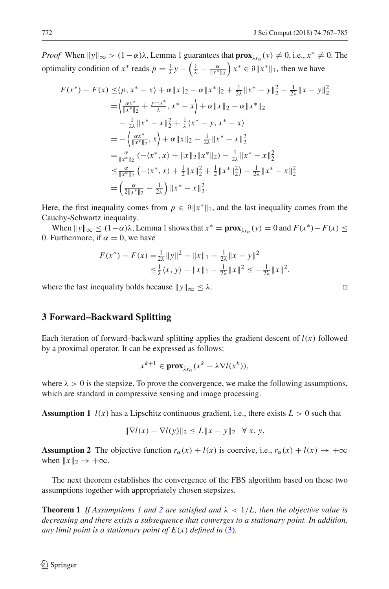*Proof* When  $||y||_{\infty} > (1 - \alpha)\lambda$  $||y||_{\infty} > (1 - \alpha)\lambda$  $||y||_{\infty} > (1 - \alpha)\lambda$ , Lemma 1 guarantees that  $\mathbf{prox}_{\lambda r_{\alpha}}(y) \neq 0$ , i.e.,  $x^* \neq 0$ . The optimality condition of  $x^*$  reads  $p = \frac{1}{\lambda}y - \left(\frac{1}{\lambda} - \frac{\alpha}{\|x^*\|_2}\right)$  $\int x^* \in \partial \|x^*\|_1$ , then we have

$$
F(x^*) - F(x) \le (p, x^* - x) + \alpha \|x\|_2 - \alpha \|x^*\|_2 + \frac{1}{2\lambda} \|x^* - y\|_2^2 - \frac{1}{2\lambda} \|x - y\|_2^2
$$
  
\n
$$
= \left\langle \frac{\alpha x^*}{\|x^*\|_2} + \frac{y - x^*}{\lambda}, x^* - x \right\rangle + \alpha \|x\|_2 - \alpha \|x^*\|_2
$$
  
\n
$$
- \frac{1}{2\lambda} \|x^* - x\|_2^2 + \frac{1}{\lambda} \langle x^* - y, x^* - x \rangle
$$
  
\n
$$
= -\left\langle \frac{\alpha x^*}{\|x^*\|_2}, x \right\rangle + \alpha \|x\|_2 - \frac{1}{2\lambda} \|x^* - x\|_2^2
$$
  
\n
$$
= \frac{\alpha}{\|x^*\|_2} \left( -\langle x^*, x \rangle + \|x\|_2 \|x^*\|_2 \right) - \frac{1}{2\lambda} \|x^* - x\|_2^2
$$
  
\n
$$
\le \frac{\alpha}{\|x^*\|_2} \left( -\langle x^*, x \rangle + \frac{1}{2} \|x\|_2^2 + \frac{1}{2} \|x^*\|_2^2 \right) - \frac{1}{2\lambda} \|x^* - x\|_2^2
$$
  
\n
$$
= \left( \frac{\alpha}{2\|x^*\|_2} - \frac{1}{2\lambda} \right) \|x^* - x\|_2^2.
$$

Here, the first inequality comes from  $p \in \partial ||x^*||_1$ , and the last inequality comes from the Cauchy-Schwartz inequality.

When  $\|y\|_{\infty} \leq (1-\alpha)\lambda$ , Lemma 1 shows that  $x^* = \mathbf{prox}_{\lambda x_{\alpha}}(y) = 0$  and  $F(x^*) - F(x) \leq$ 0. Furthermore, if  $\alpha = 0$ , we have

$$
F(x^*) - F(x) = \frac{1}{2\lambda} ||y||^2 - ||x||_1 - \frac{1}{2\lambda} ||x - y||^2
$$
  
\n
$$
\leq \frac{1}{\lambda} \langle x, y \rangle - ||x||_1 - \frac{1}{2\lambda} ||x||^2 \leq -\frac{1}{2\lambda} ||x||^2,
$$

where the last inequality holds because  $\|y\|_{\infty} \leq \lambda$ .

## <span id="page-5-1"></span>**3 Forward–Backward Splitting**

Each iteration of forward–backward splitting applies the gradient descent of  $l(x)$  followed by a proximal operator. It can be expressed as follows:

$$
x^{k+1} \in \mathbf{prox}_{\lambda r_\alpha}(x^k - \lambda \nabla l(x^k)),
$$

<span id="page-5-2"></span>where  $\lambda > 0$  is the stepsize. To prove the convergence, we make the following assumptions, which are standard in compressive sensing and image processing.

**Assumption 1**  $l(x)$  has a Lipschitz continuous gradient, i.e., there exists  $L > 0$  such that

$$
\|\nabla l(x) - \nabla l(y)\|_2 \le L \|x - y\|_2 \quad \forall x, y.
$$

<span id="page-5-3"></span>**Assumption 2** The objective function  $r_\alpha(x) + l(x)$  is coercive, i.e.,  $r_\alpha(x) + l(x) \rightarrow +\infty$ when  $||x||_2 \rightarrow +\infty$ .

<span id="page-5-0"></span>The next theorem establishes the convergence of the FBS algorithm based on these two assumptions together with appropriately chosen stepsizes.

**Theorem [1](#page-5-2)** If Assumptions 1 and [2](#page-5-3) are satisfied and  $\lambda < 1/L$ , then the objective value is *decreasing and there exists a subsequence that converges to a stationary point. In addition, any limit point is a stationary point of*  $E(x)$  *defined in* [\(3\)](#page-2-1)*.*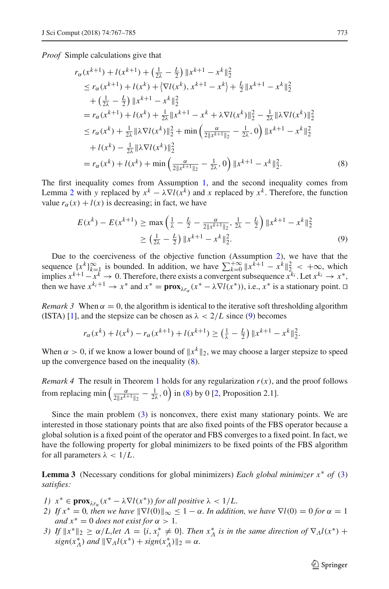*Proof* Simple calculations give that

$$
r_{\alpha}(x^{k+1}) + l(x^{k+1}) + \left(\frac{1}{2\lambda} - \frac{L}{2}\right) \|x^{k+1} - x^k\|_2^2
$$
  
\n
$$
\leq r_{\alpha}(x^{k+1}) + l(x^k) + \left|\nabla l(x^k), x^{k+1} - x^k\right| + \frac{L}{2} \|x^{k+1} - x^k\|_2^2
$$
  
\n
$$
+ \left(\frac{1}{2\lambda} - \frac{L}{2}\right) \|x^{k+1} - x^k\|_2^2
$$
  
\n
$$
= r_{\alpha}(x^{k+1}) + l(x^k) + \frac{1}{2\lambda} \|x^{k+1} - x^k + \lambda \nabla l(x^k)\|_2^2 - \frac{1}{2\lambda} \|\lambda \nabla l(x^k)\|_2^2
$$
  
\n
$$
\leq r_{\alpha}(x^k) + \frac{1}{2\lambda} \|\lambda \nabla l(x^k)\|_2^2 + \min\left(\frac{\alpha}{2\|x^{k+1}\|_2} - \frac{1}{2\lambda}, 0\right) \|x^{k+1} - x^k\|_2^2
$$
  
\n
$$
+ l(x^k) - \frac{1}{2\lambda} \|\lambda \nabla l(x^k)\|_2^2
$$
  
\n
$$
= r_{\alpha}(x^k) + l(x^k) + \min\left(\frac{\alpha}{2\|x^{k+1}\|_2} - \frac{1}{2\lambda}, 0\right) \|x^{k+1} - x^k\|_2^2.
$$
 (8)

The first inequality comes from Assumption [1,](#page-5-2) and the second inequality comes from Lemma [2](#page-4-0) with *y* replaced by  $x^k - \lambda \nabla l(x^k)$  and *x* replaced by  $x^k$ . Therefore, the function value  $r_\alpha(x) + l(x)$  is decreasing; in fact, we have

<span id="page-6-2"></span><span id="page-6-1"></span>
$$
E(x^{k}) - E(x^{k+1}) \ge \max\left(\frac{1}{\lambda} - \frac{L}{2} - \frac{\alpha}{2\|x^{k+1}\|_2}, \frac{1}{2\lambda} - \frac{L}{2}\right) \|x^{k+1} - x^{k}\|_2^2
$$
  
 
$$
\ge \left(\frac{1}{2\lambda} - \frac{L}{2}\right) \|x^{k+1} - x^{k}\|_2^2.
$$
 (9)

Due to the coerciveness of the objective function (Assumption [2\)](#page-5-3), we have that the sequence  $\{x^k\}_{k=1}^\infty$  is bounded. In addition, we have  $\sum_{k=0}^{+\infty} \|x^{k+1} - x^k\|_{\mathcal{L}_{k-1}}^2 < +\infty$ , which implies  $x^{k+1} - x^k \to 0$ . Therefore, there exists a convergent subsequence  $x^{k_i}$ . Let  $x^{k_i} \to x^*$ , then we have  $x^{k_i+1} \to x^*$  and  $x^* = \text{prox}_{\lambda x} (x^* - \lambda \nabla l(x^*))$ , i.e.,  $x^*$  is a stationary point.  $\Box$ 

*Remark 3* When  $\alpha = 0$ , the algorithm is identical to the iterative soft thresholding algorithm (ISTA) [\[1\]](#page-16-1), and the stepsize can be chosen as  $\lambda < 2/L$  since [\(9\)](#page-6-1) becomes

$$
r_{\alpha}(x^{k}) + l(x^{k}) - r_{\alpha}(x^{k+1}) + l(x^{k+1}) \ge \left(\frac{1}{\lambda} - \frac{L}{2}\right) \|x^{k+1} - x^{k}\|_{2}^{2}.
$$

When  $\alpha > 0$ , if we know a lower bound of  $||x^k||_2$ , we may choose a larger stepsize to speed up the convergence based on the inequality [\(8\)](#page-6-2).

*Remark 4* The result in Theorem [1](#page-5-0) holds for any regularization  $r(x)$ , and the proof follows from replacing min  $\left(\frac{\alpha}{2\|x^{k+1}\|_2} - \frac{1}{2\lambda}, 0\right)$  in [\(8\)](#page-6-2) by 0 [\[2](#page-17-22), Proposition 2.1].

Since the main problem [\(3\)](#page-2-1) is nonconvex, there exist many stationary points. We are interested in those stationary points that are also fixed points of the FBS operator because a global solution is a fixed point of the operator and FBS converges to a fixed point. In fact, we have the following property for global minimizers to be fixed points of the FBS algorithm for all parameters  $\lambda < 1/L$ .

<span id="page-6-0"></span>**Lemma 3** (Necessary conditions for global minimizers) *Each global minimizer x*∗ *of* [\(3\)](#page-2-1) *satisfies:*

- *1)*  $x^* \in \mathbf{prox}_{\lambda r_\alpha}(x^* \lambda \nabla l(x^*))$  *for all positive*  $\lambda < 1/L$ .
- *2)* If  $x^* = 0$ , then we have  $\|\nabla l(0)\|_{\infty} \leq 1 \alpha$ . In addition, we have  $\nabla l(0) = 0$  for  $\alpha = 1$ *and*  $x^* = 0$  *does not exist for*  $\alpha > 1$ *.*
- *3)* If  $||x^*||_2 \ge \alpha/L$ , let  $\Lambda = \{i, x^*_i \ne 0\}$ . Then  $x^*_\Lambda$  is in the same direction of  $\nabla_\Lambda l(x^*)$  +  $sign(x_{\Lambda}^{*})$  *and*  $\|\nabla_{\Lambda}l(x^{*}) + sign(x_{\Lambda}^{*})\|_{2} = \alpha.$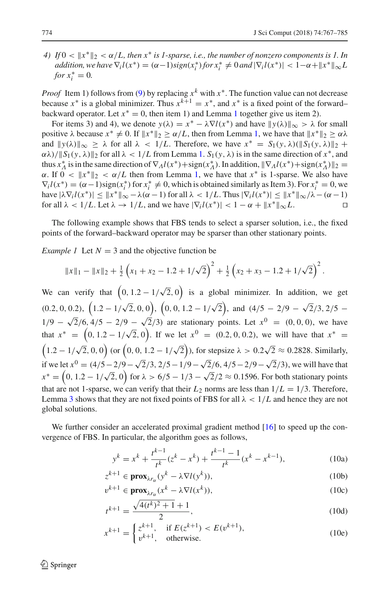*4)* If  $0 < ||x^*||_2 < \alpha/L$ , then  $x^*$  is 1-sparse, i.e., the number of nonzero components is 1. In  $addition, we have \nabla_i l(x^*) = (\alpha - 1) sign(x_i^*) for x_i^* \neq 0 and |\nabla_i l(x^*)| < 1 - \alpha + \|x^*\|_{\infty} L$ *for*  $x_i^* = 0$ .

*Proof* Item 1) follows from [\(9\)](#page-6-1) by replacing  $x^k$  with  $x^*$ . The function value can not decrease because  $x^*$  is a global minimizer. Thus  $x^{k+1} = x^*$ , and  $x^*$  is a fixed point of the forward– backward operator. Let  $x^* = 0$ , then item [1](#page-3-0)) and Lemma 1 together give us item 2).

For items 3) and 4), we denote  $y(\lambda) = x^* - \lambda \nabla l(x^*)$  and have  $||y(\lambda)||_{\infty} > \lambda$  for small positive  $\lambda$  because  $x^* \neq 0$ . If  $||x^*||_2 \geq \alpha/L$ , then from Lemma [1,](#page-3-0) we have that  $||x^*||_2 \geq \alpha \lambda$ and  $||y(\lambda)||_{\infty} > \lambda$  for all  $\lambda < 1/L$ . Therefore, we have  $x^* = S_1(y, \lambda)(||S_1(y, \lambda)||_2 +$  $\alpha\lambda$ // $\|S_1(y, \lambda)\|_2$  for all  $\lambda < 1/L$  from Lemma [1.](#page-3-0)  $S_1(y, \lambda)$  is in the same direction of  $x^*$ , and thus  $x_A^*$  is in the same direction of  $\nabla_A l(x^*) + \text{sign}(x_A^*)$ . In addition,  $\|\nabla_A l(x^*) + \text{sign}(x_A^*)\|_2 =$  $\alpha$ . If  $0 < ||x^*||_2 < \alpha/L$  then from Lemma [1,](#page-3-0) we have that  $x^*$  is 1-sparse. We also have  $\nabla_i l(x^*) = (\alpha - 1) \operatorname{sign}(x_i^*)$  for  $x_i^* \neq 0$ , which is obtained similarly as Item 3). For  $x_i^* = 0$ , we have  $|\lambda \nabla_i l(x^*)| \le ||x^*||_{\infty} - \lambda (\alpha - 1)$  for all  $\lambda < 1/L$ . Thus  $|\nabla_i l(x^*)| \le ||x^*||_{\infty}/\lambda - (\alpha - 1)$ <br>for all  $\lambda < 1/L$ . Let  $\lambda \to 1/L$ , and we have  $|\nabla_i l(x^*)| < 1 - \alpha + ||x^*||_{\infty}L$ . for all  $\lambda < 1/L$ . Let  $\lambda \rightarrow 1/L$ , and we have  $|\nabla_i l(x^*)| < 1 - \alpha + ||x^*||_{\infty}L$ .

<span id="page-7-0"></span>The following example shows that FBS tends to select a sparser solution, i.e., the fixed points of the forward–backward operator may be sparser than other stationary points.

*Example 1* Let  $N = 3$  and the objective function be

$$
\|x\|_1 - \|x\|_2 + \frac{1}{2}\left(x_1 + x_2 - 1.2 + 1/\sqrt{2}\right)^2 + \frac{1}{2}\left(x_2 + x_3 - 1.2 + 1/\sqrt{2}\right)^2.
$$

We can verify that  $(0, 1.2 - 1/\sqrt{2}, 0)$  is a global minimizer. In addition, we get  $(0.2, 0, 0.2), (1.2 - 1/\sqrt{2}, 0, 0), (0, 0, 1.2 - 1/\sqrt{2}), \text{ and } (4/5 - 2/9 - \sqrt{2}/3, 2/5 1/9 - \sqrt{2}/6$ ,  $4/5 - 2/9 - \sqrt{2}/3$  are stationary points. Let  $x^0 = (0, 0, 0)$ , we have that  $x^* = (0, 1.2 - 1/\sqrt{2}, 0)$ . If we let  $x^0 = (0.2, 0, 0.2)$ , we will have that  $x^* =$  $(1.2 - 1/\sqrt{2}, 0, 0)$  (or  $(0, 0, 1.2 - 1/\sqrt{2})$ ), for stepsize  $\lambda > 0.2\sqrt{2} \approx 0.2828$ . Similarly, if we let  $x^0 = (4/5 - 2/9 - \sqrt{2}/3, 2/5 - 1/9 - \sqrt{2}/6, 4/5 - 2/9 - \sqrt{2}/3)$ , we will have that  $x^* = (0, 1.2 - 1/\sqrt{2}, 0)$  for  $\lambda > 6/5 - 1/3 - \sqrt{2}/2 \approx 0.1596$ . For both stationary points that are not 1-sparse, we can verify that their  $L_2$  norms are less than  $1/L = 1/3$ . Therefore, Lemma [3](#page-6-0) shows that they are not fixed points of FBS for all  $\lambda < 1/L$  and hence they are not global solutions.

We further consider an accelerated proximal gradient method [\[16](#page-17-23)] to speed up the convergence of FBS. In particular, the algorithm goes as follows,

$$
y^{k} = x^{k} + \frac{t^{k-1}}{t^{k}}(z^{k} - x^{k}) + \frac{t^{k-1} - 1}{t^{k}}(x^{k} - x^{k-1}),
$$
\n(10a)

$$
z^{k+1} \in \mathbf{prox}_{\lambda r_{\alpha}}(y^k - \lambda \nabla l(y^k)),\tag{10b}
$$

$$
v^{k+1} \in \mathbf{prox}_{\lambda r_{\alpha}}(x^k - \lambda \nabla l(x^k)),\tag{10c}
$$

$$
t^{k+1} = \frac{\sqrt{4(t^k)^2 + 1} + 1}{2},
$$
\n(10d)

$$
x^{k+1} = \begin{cases} z^{k+1}, & \text{if } E(z^{k+1}) < E(v^{k+1}), \\ v^{k+1}, & \text{otherwise.} \end{cases}
$$
(10e)

 $\mathcal{L}$  Springer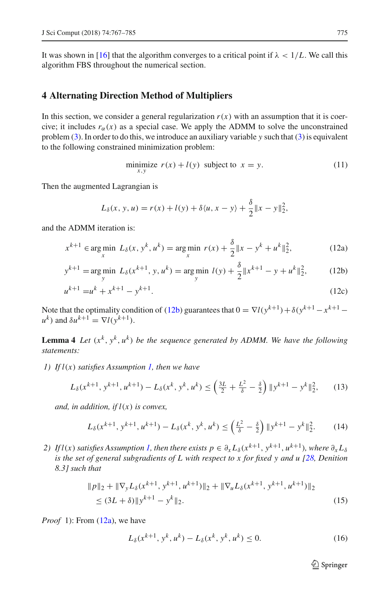It was shown in [\[16](#page-17-23)] that the algorithm converges to a critical point if  $\lambda < 1/L$ . We call this algorithm FBS throughout the numerical section.

### <span id="page-8-0"></span>**4 Alternating Direction Method of Multipliers**

In this section, we consider a general regularization  $r(x)$  with an assumption that it is coercive; it includes  $r_\alpha(x)$  as a special case. We apply the ADMM to solve the unconstrained problem [\(3\)](#page-2-1). In order to do this, we introduce an auxiliary variable *y* such that [\(3\)](#page-2-1) is equivalent to the following constrained minimization problem:

<span id="page-8-3"></span><span id="page-8-2"></span><span id="page-8-1"></span>
$$
\underset{x,y}{\text{minimize}} \ r(x) + l(y) \text{ subject to } x = y. \tag{11}
$$

Then the augmented Lagrangian is

$$
L_{\delta}(x, y, u) = r(x) + l(y) + \delta \langle u, x - y \rangle + \frac{\delta}{2} ||x - y||_2^2,
$$

and the ADMM iteration is:

$$
x^{k+1} \in \underset{x}{\text{arg min}} \ L_{\delta}(x, y^k, u^k) = \underset{x}{\text{arg min}} \ r(x) + \frac{\delta}{2} \|x - y^k + u^k\|_2^2, \tag{12a}
$$

$$
y^{k+1} = \underset{y}{\arg\min} \ L_{\delta}(x^{k+1}, y, u^k) = \underset{y}{\arg\min} \ l(y) + \frac{\delta}{2} \|x^{k+1} - y + u^k\|_2^2, \tag{12b}
$$

$$
u^{k+1} = u^k + x^{k+1} - y^{k+1}.\tag{12c}
$$

<span id="page-8-8"></span>Note that the optimality condition of [\(12b\)](#page-8-1) guarantees that  $0 = \nabla l(\gamma^{k+1}) + \delta(\gamma^{k+1} - \gamma^{k+1} - \gamma^{k+1})$  $u^k$ ) and  $\delta u^{k+1} = \nabla l(v^{k+1})$ .

**Lemma 4** *Let*  $(x^k, y^k, u^k)$  *be the sequence generated by ADMM. We have the following statements:*

*1) If l*(*x*) *satisfies Assumption [1,](#page-5-2) then we have*

$$
L_{\delta}(x^{k+1}, y^{k+1}, u^{k+1}) - L_{\delta}(x^k, y^k, u^k) \le \left(\frac{3L}{2} + \frac{L^2}{\delta} - \frac{\delta}{2}\right) \|y^{k+1} - y^k\|_2^2, \qquad (13)
$$

*and, in addition, if l*(*x*) *is convex,*

$$
L_{\delta}(x^{k+1}, y^{k+1}, u^{k+1}) - L_{\delta}(x^k, y^k, u^k) \le \left(\frac{L^2}{\delta} - \frac{\delta}{2}\right) \|y^{k+1} - y^k\|_2^2. \tag{14}
$$

*2) If*  $l(x)$  *satisfies Assumption [1,](#page-5-2) then there exists*  $p \in \partial_x L_\delta(x^{k+1}, y^{k+1}, u^{k+1})$ *, where*  $\partial_x L_\delta$ *is the set of general subgradients of L with respect to x for fixed y and u [\[28](#page-17-24), Denition 8.3] such that*

$$
||p||_2 + ||\nabla_y L_\delta(x^{k+1}, y^{k+1}, u^{k+1})||_2 + ||\nabla_u L_\delta(x^{k+1}, y^{k+1}, u^{k+1})||_2
$$
  
\n
$$
\leq (3L + \delta) ||y^{k+1} - y^k||_2.
$$
\n(15)

*Proof* 1): From [\(12a\)](#page-8-2), we have

$$
L_{\delta}(x^{k+1}, y^k, u^k) - L_{\delta}(x^k, y^k, u^k) \le 0.
$$
 (16)

<span id="page-8-7"></span><span id="page-8-6"></span><span id="page-8-5"></span><span id="page-8-4"></span> $\circled{2}$  Springer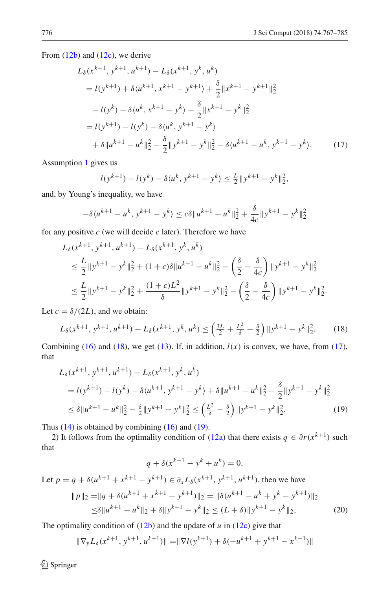From [\(12b\)](#page-8-1) and [\(12c\)](#page-8-3), we derive

$$
L_{\delta}(x^{k+1}, y^{k+1}, u^{k+1}) - L_{\delta}(x^{k+1}, y^k, u^k)
$$
  
=  $l(y^{k+1}) + \delta\langle u^{k+1}, x^{k+1} - y^{k+1} \rangle + \frac{\delta}{2} ||x^{k+1} - y^{k+1}||_2^2$   
 $- l(y^k) - \delta\langle u^k, x^{k+1} - y^k \rangle - \frac{\delta}{2} ||x^{k+1} - y^k||_2^2$   
=  $l(y^{k+1}) - l(y^k) - \delta\langle u^k, y^{k+1} - y^k \rangle$   
+  $\delta ||u^{k+1} - u^k||_2^2 - \frac{\delta}{2} ||y^{k+1} - y^k||_2^2 - \delta\langle u^{k+1} - u^k, y^{k+1} - y^k \rangle.$  (17)

Assumption [1](#page-5-2) gives us

<span id="page-9-1"></span>
$$
l(y^{k+1}) - l(y^k) - \delta \langle u^k, y^{k+1} - y^k \rangle \le \frac{L}{2} ||y^{k+1} - y^k||_2^2
$$

and, by Young's inequality, we have

$$
-\delta \langle u^{k+1} - u^k, y^{k+1} - y^k \rangle \le c \delta \| u^{k+1} - u^k \|_2^2 + \frac{\delta}{4c} \| y^{k+1} - y^k \|_2^2
$$

for any positive *c* (we will decide *c* later). Therefore we have

$$
L_{\delta}(x^{k+1}, y^{k+1}, u^{k+1}) - L_{\delta}(x^{k+1}, y^k, u^k)
$$
  
\n
$$
\leq \frac{L}{2} ||y^{k+1} - y^k||_2^2 + (1 + c)\delta ||u^{k+1} - u^k||_2^2 - \left(\frac{\delta}{2} - \frac{\delta}{4c}\right) ||y^{k+1} - y^k||_2^2
$$
  
\n
$$
\leq \frac{L}{2} ||y^{k+1} - y^k||_2^2 + \frac{(1 + c)L^2}{\delta} ||y^{k+1} - y^k||_2^2 - \left(\frac{\delta}{2} - \frac{\delta}{4c}\right) ||y^{k+1} - y^k||_2^2.
$$

Let  $c = \delta/(2L)$ , and we obtain:

$$
L_{\delta}(x^{k+1}, y^{k+1}, u^{k+1}) - L_{\delta}(x^{k+1}, y^k, u^k) \le \left(\frac{3L}{2} + \frac{L^2}{\delta} - \frac{\delta}{2}\right) \|y^{k+1} - y^k\|_2^2. \tag{18}
$$

Combining [\(16\)](#page-8-4) and [\(18\)](#page-9-0), we get [\(13\)](#page-8-5). If, in addition,  $l(x)$  is convex, we have, from [\(17\)](#page-9-1), that

$$
L_{\delta}(x^{k+1}, y^{k+1}, u^{k+1}) - L_{\delta}(x^{k+1}, y^k, u^k)
$$
  
=  $l(y^{k+1}) - l(y^k) - \delta\langle u^{k+1}, y^{k+1} - y^k \rangle + \delta \| u^{k+1} - u^k \|_2^2 - \frac{\delta}{2} \| y^{k+1} - y^k \|_2^2$   
 $\leq \delta \| u^{k+1} - u^k \|_2^2 - \frac{\delta}{2} \| y^{k+1} - y^k \|_2^2 \leq \left( \frac{L^2}{\delta} - \frac{\delta}{2} \right) \| y^{k+1} - y^k \|_2^2.$  (19)

Thus  $(14)$  is obtained by combining  $(16)$  and  $(19)$ .

2) It follows from the optimality condition of [\(12a\)](#page-8-2) that there exists  $q \in \partial r(x^{k+1})$  such that

<span id="page-9-3"></span><span id="page-9-2"></span><span id="page-9-0"></span>
$$
q + \delta(x^{k+1} - y^k + u^k) = 0.
$$

Let  $p = q + \delta(u^{k+1} + x^{k+1} - y^{k+1}) \in \partial_x L_\delta(x^{k+1}, y^{k+1}, u^{k+1})$ , then we have  $||p||_2 = ||q + \delta(u^{k+1} + x^{k+1} - y^{k+1})||_2 = ||\delta(u^{k+1} - u^k + y^k)||_2$ 

$$
p||_2 = ||q + \delta(u^{k+1} + x^{k+1} - y^{k+1})||_2 = ||\delta(u^{k+1} - u^k + y^k - y^{k+1})||_2
$$
  
\n
$$
\leq \delta ||u^{k+1} - u^k||_2 + \delta ||y^{k+1} - y^k||_2 \leq (L + \delta) ||y^{k+1} - y^k||_2,
$$
\n(20)

The optimality condition of  $(12b)$  and the update of *u* in  $(12c)$  give that

$$
\|\nabla_{\mathbf{y}} L_{\delta}(\mathbf{x}^{k+1}, \mathbf{y}^{k+1}, \mathbf{u}^{k+1})\| = \|\nabla l(\mathbf{y}^{k+1}) + \delta(-\mathbf{u}^{k+1} + \mathbf{y}^{k+1} - \mathbf{x}^{k+1})\|
$$

 $\bigcirc$  Springer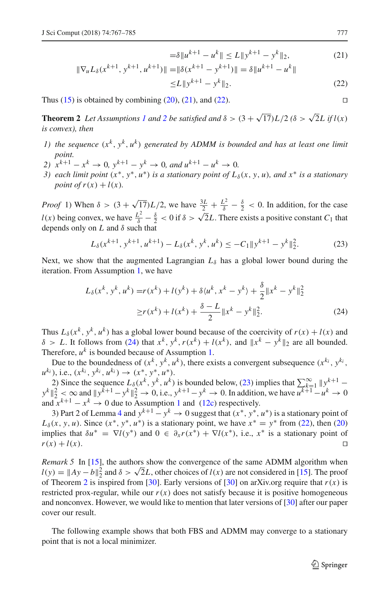<span id="page-10-2"></span><span id="page-10-1"></span>
$$
= \delta \|u^{k+1} - u^k\| \le L \|y^{k+1} - y^k\|_2, \tag{21}
$$

$$
\|\nabla_u L_\delta(x^{k+1}, y^{k+1}, u^{k+1})\| = \|\delta(x^{k+1} - y^{k+1})\| = \delta \|u^{k+1} - u^k\|
$$
  
\n
$$
\le L \|y^{k+1} - y^k\|_2.
$$
\n(22)

Thus [\(15\)](#page-8-7) is obtained by combining [\(20\)](#page-9-3), [\(21\)](#page-10-1), and [\(22\)](#page-10-2).

<span id="page-10-0"></span>**Theorem [2](#page-5-3)** *Let Assumptions [1](#page-5-2) and* 2 *be satisfied and*  $\delta$  >  $(3 + \sqrt{17})L/2$   $(\delta$  >  $\sqrt{2}L$  *if l(x) is convex), then*

- *1)* the sequence  $(x^k, y^k, u^k)$  generated by ADMM is bounded and has at least one limit *point.*
- 2)  $x^{k+1} x^k \to 0$ ,  $y^{k+1} y^k \to 0$ , and  $u^{k+1} u^k \to 0$ .
- *3) each limit point*  $(x^*, y^*, u^*)$  *is a stationary point of*  $L_{\delta}(x, y, u)$ *, and*  $x^*$  *is a stationary point of r*( $x$ ) +  $l(x)$ .

*Proof* 1) When  $\delta > (3 + \sqrt{17})L/2$ , we have  $\frac{3L}{2} + \frac{L^2}{\delta} - \frac{\delta}{2} < 0$ . In addition, for the case *l*(*x*) being convex, we have  $\frac{L^2}{\delta} - \frac{\delta}{2} < 0$  if  $\delta > \sqrt{2}L$ . There exists a positive constant *C*<sub>1</sub> that depends only on *L* and δ such that

<span id="page-10-4"></span>
$$
L_{\delta}(x^{k+1}, y^{k+1}, u^{k+1}) - L_{\delta}(x^k, y^k, u^k) \le -C_1 \|y^{k+1} - y^k\|_2^2.
$$
 (23)

Next, we show that the augmented Lagrangian  $L_{\delta}$  has a global lower bound during the iteration. From Assumption [1,](#page-5-2) we have

<span id="page-10-3"></span>
$$
L_{\delta}(x^{k}, y^{k}, u^{k}) = r(x^{k}) + l(y^{k}) + \delta\langle u^{k}, x^{k} - y^{k}\rangle + \frac{\delta}{2} ||x^{k} - y^{k}||_{2}^{2}
$$
  
\n
$$
\geq r(x^{k}) + l(x^{k}) + \frac{\delta - L}{2} ||x^{k} - y^{k}||_{2}^{2}.
$$
\n(24)

Thus  $L_{\delta}(x^k, y^k, u^k)$  has a global lower bound because of the coercivity of  $r(x) + l(x)$  and  $δ > L$ . It follows from [\(24\)](#page-10-3) that  $x^k$ ,  $y^k$ ,  $r(x^k) + l(x^k)$ , and  $||x^k - y^k||_2$  are all bounded. Therefore,  $u^k$  is bounded because of Assumption [1.](#page-5-2)

Due to the boundedness of  $(x^k, y^k, u^k)$ , there exists a convergent subsequence  $(x^{k_i}, y^{k_i})$  $u^{k_i}$ , *i.e.*,  $(x^{k_i}, y^{k_i}, u^{k_i}) \rightarrow (x^*, y^*, u^*).$ 

2) Since the sequence  $L_{\delta}(x^k, y^k, u^k)$  is bounded below, [\(23\)](#page-10-4) implies that  $\sum_{k=1}^{\infty} ||y^{k+1} - y^{k+1}||$  $y^{k} \|_{2}^{2}$  < ∞ and  $||y^{k+1}-y^{k}||_{2}^{2}$  → 0, i.e.,  $y^{k+1}-y^{k}$  → 0. In addition, we have  $u^{k+1}-u^{k}$  → 0 and  $x^{k+1} - x^k \to 0$  $x^{k+1} - x^k \to 0$  $x^{k+1} - x^k \to 0$  due to Assumption 1 and [\(12c\)](#page-8-3) respectively.

3) Part 2 of Lemma [4](#page-8-8) and  $y^{k+1} - y^k \rightarrow 0$  suggest that  $(x^*, y^*, u^*)$  is a stationary point of  $L_{\delta}(x, y, u)$ . Since  $(x^*, y^*, u^*)$  is a stationary point, we have  $x^* = y^*$  from [\(22\)](#page-10-2), then [\(20\)](#page-9-3) implies that  $\delta u^* = \nabla l(y^*)$  and  $0 \in \partial_x r(x^*) + \nabla l(x^*)$ , i.e.,  $x^*$  is a stationary point of  $r(x) + l(x)$ .  $r(x) + l(x)$ .

*Remark 5* In [\[15](#page-17-25)], the authors show the convergence of the same ADMM algorithm when  $l(y) = \|Ay - b\|_2^2$  and  $\delta > \sqrt{2}L$ , other choices of *l*(*x*) are not considered in [\[15\]](#page-17-25). The proof of Theorem [2](#page-10-0) is inspired from [\[30](#page-17-26)]. Early versions of [30] on arXiv.org require that  $r(x)$  is restricted prox-regular, while our  $r(x)$  does not satisfy because it is positive homogeneous and nonconvex. However, we would like to mention that later versions of [\[30](#page-17-26)] after our paper cover our result.

The following example shows that both FBS and ADMM may converge to a stationary point that is not a local minimizer.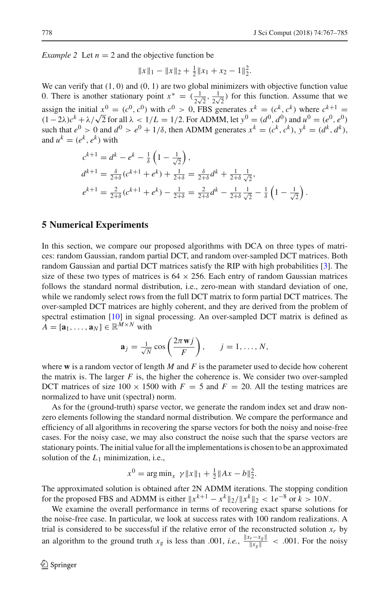*Example 2* Let  $n = 2$  and the objective function be

$$
||x||_1 - ||x||_2 + \frac{1}{2}||x_1 + x_2 - 1||_2^2.
$$

We can verify that  $(1, 0)$  and  $(0, 1)$  are two global minimizers with objective function value 0. There is another stationary point  $x^* = (\frac{1}{2\sqrt{2}}, \frac{1}{2\sqrt{2}})$  for this function. Assume that we assign the initial  $x^0 = (c^0, c^0)$  with  $c^0 > 0$ , FBS generates  $x^k = (c^k, c^k)$  where  $c^{k+1} =$ (1−2λ) $c^k + \lambda/\sqrt{2}$  for all  $\lambda < 1/L = 1/2$ . For ADMM, let  $y^0 = (d^0, d^0)$  and  $u^0 = (e^0, e^0)$ such that  $e^0 > 0$  and  $d^0 > e^0 + 1/\delta$ , then ADMM generates  $x^k = (c^k, c^k)$ ,  $y^k = (d^k, d^k)$ , and  $u^k = (e^k, e^k)$  with

$$
c^{k+1} = d^k - e^k - \frac{1}{\delta} \left( 1 - \frac{1}{\sqrt{2}} \right),
$$
  
\n
$$
d^{k+1} = \frac{\delta}{2+\delta} (c^{k+1} + e^k) + \frac{1}{2+\delta} = \frac{\delta}{2+\delta} d^k + \frac{1}{2+\delta} \frac{1}{\sqrt{2}},
$$
  
\n
$$
e^{k+1} = \frac{2}{2+\delta} (c^{k+1} + e^k) - \frac{1}{2+\delta} = \frac{2}{2+\delta} d^k - \frac{1}{2+\delta} \frac{1}{\sqrt{2}} - \frac{1}{\delta} \left( 1 - \frac{1}{\sqrt{2}} \right).
$$

#### <span id="page-11-0"></span>**5 Numerical Experiments**

In this section, we compare our proposed algorithms with DCA on three types of matrices: random Gaussian, random partial DCT, and random over-sampled DCT matrices. Both random Gaussian and partial DCT matrices satisfy the RIP with high probabilities [\[3](#page-17-0)]. The size of these two types of matrices is  $64 \times 256$ . Each entry of random Gaussian matrices follows the standard normal distribution, i.e., zero-mean with standard deviation of one, while we randomly select rows from the full DCT matrix to form partial DCT matrices. The over-sampled DCT matrices are highly coherent, and they are derived from the problem of spectral estimation [\[10](#page-17-27)] in signal processing. An over-sampled DCT matrix is defined as  $A = [\mathbf{a}_1, \dots, \mathbf{a}_N] \in \mathbb{R}^{M \times N}$  with

$$
\mathbf{a}_j = \frac{1}{\sqrt{N}} \cos\left(\frac{2\pi \mathbf{w} j}{F}\right), \quad j = 1, \dots, N,
$$

where **w** is a random vector of length *M* and *F* is the parameter used to decide how coherent the matrix is. The larger  $F$  is, the higher the coherence is. We consider two over-sampled DCT matrices of size  $100 \times 1500$  with  $F = 5$  and  $F = 20$ . All the testing matrices are normalized to have unit (spectral) norm.

As for the (ground-truth) sparse vector, we generate the random index set and draw nonzero elements following the standard normal distribution. We compare the performance and efficiency of all algorithms in recovering the sparse vectors for both the noisy and noise-free cases. For the noisy case, we may also construct the noise such that the sparse vectors are stationary points. The initial value for all the implementations is chosen to be an approximated solution of the  $L_1$  minimization, i.e.,

$$
x^{0} = \arg\min_{x} \ \gamma \|x\|_{1} + \frac{1}{2} \|Ax - b\|_{2}^{2}.
$$

The approximated solution is obtained after 2N ADMM iterations. The stopping condition for the proposed FBS and ADMM is either  $||x^{k+1} - x^k||_2 / ||x^k||_2 < 1e^{-8}$  or  $k > 10N$ .

We examine the overall performance in terms of recovering exact sparse solutions for the noise-free case. In particular, we look at success rates with 100 random realizations. A trial is considered to be successful if the relative error of the reconstructed solution  $x_r$  by an algorithm to the ground truth  $x_g$  is less than .001, *i.e.*,  $\frac{||x_r - x_g||}{||x_g||}$  < .001. For the noisy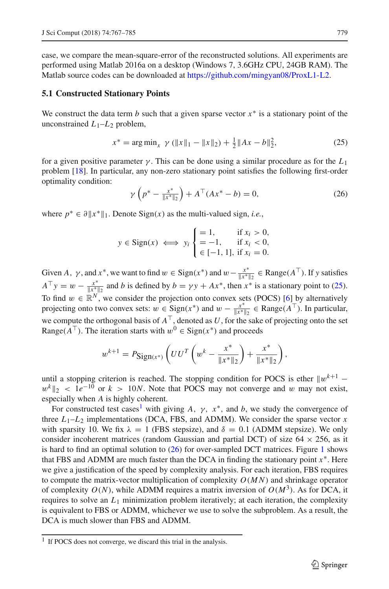case, we compare the mean-square-error of the reconstructed solutions. All experiments are performed using Matlab 2016a on a desktop (Windows 7, 3.6GHz CPU, 24GB RAM). The Matlab source codes can be downloaded at [https://github.com/mingyan08/ProxL1-L2.](https://github.com/mingyan08/ProxL1-L2)

#### **5.1 Constructed Stationary Points**

We construct the data term *b* such that a given sparse vector *x*∗ is a stationary point of the unconstrained  $L_1-L_2$  problem,

<span id="page-12-0"></span>
$$
x^* = \arg\min_{x} \ \gamma \left( \|x\|_1 - \|x\|_2 \right) + \frac{1}{2} \|Ax - b\|_2^2,\tag{25}
$$

for a given positive parameter  $\gamma$ . This can be done using a similar procedure as for the  $L_1$ problem [\[18](#page-17-28)]. In particular, any non-zero stationary point satisfies the following first-order optimality condition:

<span id="page-12-2"></span>
$$
\gamma \left( p^* - \frac{x^*}{\|x^*\|_2} \right) + A^\top (Ax^* - b) = 0,\tag{26}
$$

where  $p^* \in \partial ||x^*||_1$ . Denote Sign(*x*) as the multi-valued sign, *i.e.*,

$$
y \in \text{Sign}(x) \iff y_i \begin{cases} = 1, & \text{if } x_i > 0, \\ = -1, & \text{if } x_i < 0, \\ \in [-1, 1], & \text{if } x_i = 0. \end{cases}
$$

Given *A*,  $\gamma$ , and  $x^*$ , we want to find  $w \in \text{Sign}(x^*)$  and  $w - \frac{x^*}{\|x^*\|_2} \in \text{Range}(A^\top)$ . If y satisfies  $A^{\top} y = w - \frac{x^*}{\|x^*\|_2}$  and *b* is defined by  $b = \gamma y + Ax^*$ , then  $x^*$  is a stationary point to [\(25\)](#page-12-0). To find  $w \in \mathbb{R}^N$ , we consider the projection onto convex sets (POCS) [\[6\]](#page-17-29) by alternatively projecting onto two convex sets:  $w \in \text{Sign}(x^*)$  and  $w - \frac{x^*}{|x^*|_2} \in \text{Range}(A^\top)$ . In particular, we compute the orthogonal basis of  $A^{\top}$ , denoted as *U*, for the sake of projecting onto the set Range( $A^{\top}$ ). The iteration starts with  $w^0 \in \text{Sign}(x^*)$  and proceeds

$$
w^{k+1} = P_{\text{Sign}(x^*)} \left( U U^T \left( w^k - \frac{x^*}{\|x^*\|_2} \right) + \frac{x^*}{\|x^*\|_2} \right),
$$

until a stopping criterion is reached. The stopping condition for POCS is ether  $||w^{k+1}$  $w^{k}$  |2 <  $1e^{-10}$  or  $k > 10N$ . Note that POCS may not converge and w may not exist, especially when *A* is highly coherent.

For constructed test cases<sup>1</sup> with giving A,  $\gamma$ ,  $x^*$ , and b, we study the convergence of three  $L_1$ – $L_2$  implementations (DCA, FBS, and ADMM). We consider the sparse vector  $x$ with sparsity 10. We fix  $\lambda = 1$  (FBS stepsize), and  $\delta = 0.1$  (ADMM stepsize). We only consider incoherent matrices (random Gaussian and partial DCT) of size  $64 \times 256$ , as it is hard to find an optimal solution to [\(26\)](#page-12-2) for over-sampled DCT matrices. Figure [1](#page-13-0) shows that FBS and ADMM are much faster than the DCA in finding the stationary point  $x^*$ . Here we give a justification of the speed by complexity analysis. For each iteration, FBS requires to compute the matrix-vector multiplication of complexity *O*(*M N*) and shrinkage operator of complexity  $O(N)$ , while ADMM requires a matrix inversion of  $O(M^3)$ . As for DCA, it requires to solve an  $L_1$  minimization problem iteratively; at each iteration, the complexity is equivalent to FBS or ADMM, whichever we use to solve the subproblem. As a result, the DCA is much slower than FBS and ADMM.

<span id="page-12-1"></span><sup>&</sup>lt;sup>1</sup> If POCS does not converge, we discard this trial in the analysis.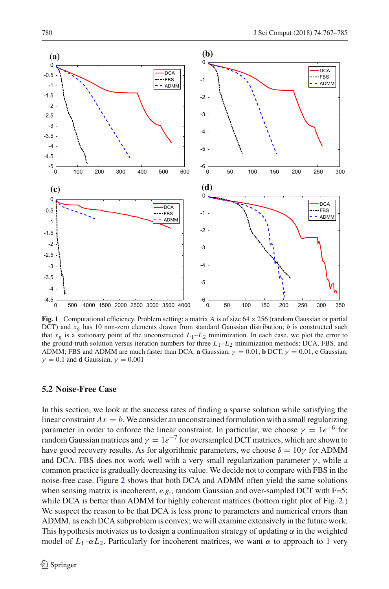

<span id="page-13-0"></span>**Fig. 1** Computational efficiency. Problem setting: a matrix *A* is of size 64 × 256 (random Gaussian or partial DCT) and *xg* has 10 non-zero elements drawn from standard Gaussian distribution; *b* is constructed such that  $x<sub>g</sub>$  is a stationary point of the unconstructed  $L<sub>1</sub>$ – $L<sub>2</sub>$  minimization. In each case, we plot the error to the ground-truth solution versus iteration numbers for three  $L_1$ – $L_2$  minimization methods: DCA, FBS, and ADMM; FBS and ADMM are much faster than DCA. **a** Gaussian,  $\gamma = 0.01$ , **b** DCT,  $\gamma = 0.01$ , **c** Gaussian,  $\gamma = 0.1$  and **d** Gaussian,  $\gamma = 0.001$ 

#### **5.2 Noise-Free Case**

In this section, we look at the success rates of finding a sparse solution while satisfying the linear constraint  $Ax = b$ . We consider an unconstrained formulation with a small regularizing parameter in order to enforce the linear constraint. In particular, we choose  $\gamma = 1e^{-6}$  for random Gaussian matrices and  $\gamma = 1e^{-7}$  for oversampled DCT matrices, which are shown to have good recovery results. As for algorithmic parameters, we choose  $\delta = 10\gamma$  for ADMM and DCA. FBS does not work well with a very small regularization parameter  $\gamma$ , while a common practice is gradually decreasing its value. We decide not to compare with FBS in the noise-free case. Figure [2](#page-14-0) shows that both DCA and ADMM often yield the same solutions when sensing matrix is incoherent, *e.g.*, random Gaussian and over-sampled DCT with F=5; while DCA is better than ADMM for highly coherent matrices (bottom right plot of Fig. [2.](#page-14-0)) We suspect the reason to be that DCA is less prone to parameters and numerical errors than ADMM, as each DCA subproblem is convex; we will examine extensively in the future work. This hypothesis motivates us to design a continuation strategy of updating  $\alpha$  in the weighted model of  $L_1-\alpha L_2$ . Particularly for incoherent matrices, we want  $\alpha$  to approach to 1 very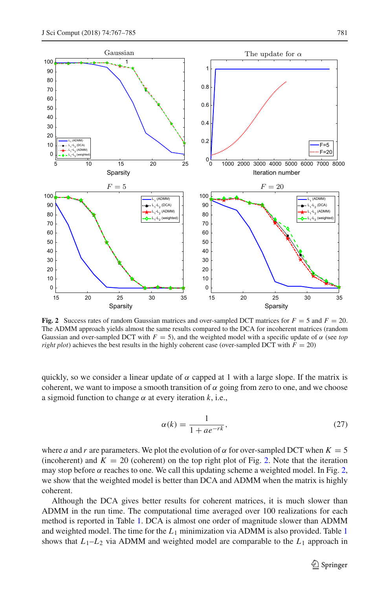

<span id="page-14-0"></span>**Fig. 2** Success rates of random Gaussian matrices and over-sampled DCT matrices for  $F = 5$  and  $F = 20$ . The ADMM approach yields almost the same results compared to the DCA for incoherent matrices (random Gaussian and over-sampled DCT with  $F = 5$ ), and the weighted model with a specific update of  $\alpha$  (see *top right plot*) achieves the best results in the highly coherent case (over-sampled DCT with  $F = 20$ )

quickly, so we consider a linear update of  $\alpha$  capped at 1 with a large slope. If the matrix is coherent, we want to impose a smooth transition of  $\alpha$  going from zero to one, and we choose a sigmoid function to change  $\alpha$  at every iteration  $k$ , i.e.,

<span id="page-14-1"></span>
$$
\alpha(k) = \frac{1}{1 + ae^{-rk}},\tag{27}
$$

where *a* and *r* are parameters. We plot the evolution of  $\alpha$  for over-sampled DCT when  $K = 5$ (incoherent) and  $K = 20$  (coherent) on the top right plot of Fig. [2.](#page-14-0) Note that the iteration may stop before  $\alpha$  reaches to one. We call this updating scheme a weighted model. In Fig. [2,](#page-14-0) we show that the weighted model is better than DCA and ADMM when the matrix is highly coherent.

Although the DCA gives better results for coherent matrices, it is much slower than ADMM in the run time. The computational time averaged over 100 realizations for each method is reported in Table [1.](#page-15-0) DCA is almost one order of magnitude slower than ADMM and weighted model. The time for the  $L_1$  $L_1$  minimization via ADMM is also provided. Table 1 shows that  $L_1-L_2$  via ADMM and weighted model are comparable to the  $L_1$  approach in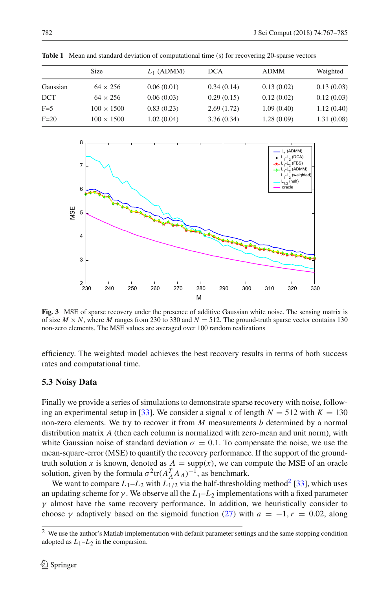|          | <b>Size</b>       | $L_1$ (ADMM) | DCA        | <b>ADMM</b> | Weighted   |
|----------|-------------------|--------------|------------|-------------|------------|
| Gaussian | $64 \times 256$   | 0.06(0.01)   | 0.34(0.14) | 0.13(0.02)  | 0.13(0.03) |
| DCT      | $64 \times 256$   | 0.06(0.03)   | 0.29(0.15) | 0.12(0.02)  | 0.12(0.03) |
| $F=5$    | $100 \times 1500$ | 0.83(0.23)   | 2.69(1.72) | 1.09(0.40)  | 1.12(0.40) |
| $F=20$   | $100 \times 1500$ | 1.02(0.04)   | 3.36(0.34) | 1.28(0.09)  | 1.31(0.08) |

<span id="page-15-0"></span>**Table 1** Mean and standard deviation of computational time (s) for recovering 20-sparse vectors



<span id="page-15-2"></span>**Fig. 3** MSE of sparse recovery under the presence of additive Gaussian white noise. The sensing matrix is of size  $M \times N$ , where *M* ranges from 230 to 330 and  $N = 512$ . The ground-truth sparse vector contains 130 non-zero elements. The MSE values are averaged over 100 random realizations

efficiency. The weighted model achieves the best recovery results in terms of both success rates and computational time.

# **5.3 Noisy Data**

Finally we provide a series of simulations to demonstrate sparse recovery with noise, follow-ing an experimental setup in [\[33](#page-18-0)]. We consider a signal x of length  $N = 512$  with  $K = 130$ non-zero elements. We try to recover it from *M* measurements *b* determined by a normal distribution matrix *A* (then each column is normalized with zero-mean and unit norm), with white Gaussian noise of standard deviation  $\sigma = 0.1$ . To compensate the noise, we use the mean-square-error (MSE) to quantify the recovery performance. If the support of the groundtruth solution *x* is known, denoted as  $\Lambda = \text{supp}(x)$ , we can compute the MSE of an oracle solution, given by the formula  $\sigma^2$ tr $(A_A^T A_A)^{-1}$ , as benchmark.

We want to compare  $L_1 - L_2$  with  $L_{1/2}$  via the half-thresholding method<sup>2</sup> [\[33](#page-18-0)], which uses an updating scheme for  $\gamma$ . We observe all the  $L_1-L_2$  implementations with a fixed parameter  $\gamma$  almost have the same recovery performance. In addition, we heuristically consider to choose  $\gamma$  adaptively based on the sigmoid function [\(27\)](#page-14-1) with  $a = -1, r = 0.02$ , along

<span id="page-15-1"></span><sup>&</sup>lt;sup>2</sup> We use the author's Matlab implementation with default parameter settings and the same stopping condition adopted as  $L_1-L_2$  in the comparsion.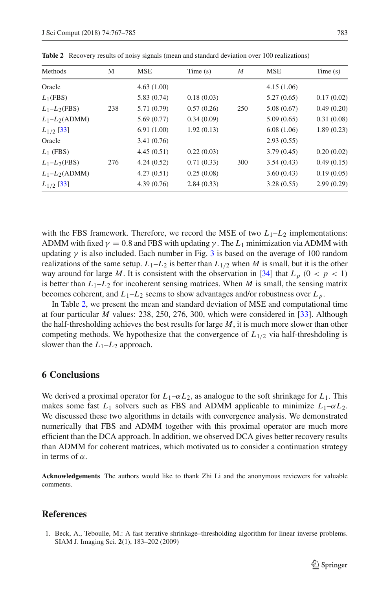| ۰ | the control of the control of the control of the control of the control of the control of the control of the control of the control of the control of the control of the control of the control of the control of the control |  |  |
|---|-------------------------------------------------------------------------------------------------------------------------------------------------------------------------------------------------------------------------------|--|--|
|   |                                                                                                                                                                                                                               |  |  |
|   |                                                                                                                                                                                                                               |  |  |

| Methods           | М   | <b>MSE</b>  | Time(s)    | M   | <b>MSE</b> | Time(s)    |
|-------------------|-----|-------------|------------|-----|------------|------------|
| Oracle            |     | 4.63(1.00)  |            |     | 4.15(1.06) |            |
| $L_1(FBS)$        |     | 5.83(0.74)  | 0.18(0.03) |     | 5.27(0.65) | 0.17(0.02) |
| $L_1 - L_2$ (FBS) | 238 | 5.71 (0.79) | 0.57(0.26) | 250 | 5.08(0.67) | 0.49(0.20) |
| $L_1 - L_2(ADMM)$ |     | 5.69(0.77)  | 0.34(0.09) |     | 5.09(0.65) | 0.31(0.08) |
| $L_{1/2}$ [33]    |     | 6.91(1.00)  | 1.92(0.13) |     | 6.08(1.06) | 1.89(0.23) |
| Oracle            |     | 3.41(0.76)  |            |     | 2.93(0.55) |            |
| $L_1$ (FBS)       |     | 4.45(0.51)  | 0.22(0.03) |     | 3.79(0.45) | 0.20(0.02) |
| $L_1 - L_2$ (FBS) | 276 | 4.24(0.52)  | 0.71(0.33) | 300 | 3.54(0.43) | 0.49(0.15) |
| $L_1 - L_2(ADMM)$ |     | 4.27(0.51)  | 0.25(0.08) |     | 3.60(0.43) | 0.19(0.05) |
| $L_{1/2}$ [33]    |     | 4.39(0.76)  | 2.84(0.33) |     | 3.28(0.55) | 2.99(0.29) |

<span id="page-16-2"></span>**Table 2** Recovery results of noisy signals (mean and standard deviation over 100 realizations)

with the FBS framework. Therefore, we record the MSE of two  $L_1-L_2$  implementations: ADMM with fixed  $\gamma = 0.8$  and FBS with updating  $\gamma$ . The  $L_1$  minimization via ADMM with updating  $\gamma$  is also included. Each number in Fig. [3](#page-15-2) is based on the average of 100 random realizations of the same setup.  $L_1 - L_2$  is better than  $L_{1/2}$  when *M* is small, but it is the other way around for large M. It is consistent with the observation in [\[34](#page-18-2)] that  $L_p$  ( $0 < p < 1$ ) is better than  $L_1$ – $L_2$  for incoherent sensing matrices. When *M* is small, the sensing matrix becomes coherent, and  $L_1 - L_2$  seems to show advantages and/or robustness over  $L_p$ .

In Table [2,](#page-16-2) we present the mean and standard deviation of MSE and computational time at four particular *M* values: 238, 250, 276, 300, which were considered in [\[33\]](#page-18-0). Although the half-thresholding achieves the best results for large *M*, it is much more slower than other competing methods. We hypothesize that the convergence of  $L_{1/2}$  via half-threshdoling is slower than the  $L_1-L_2$  approach.

#### <span id="page-16-0"></span>**6 Conclusions**

We derived a proximal operator for  $L_1-\alpha L_2$ , as analogue to the soft shrinkage for  $L_1$ . This makes some fast  $L_1$  solvers such as FBS and ADMM applicable to minimize  $L_1-\alpha L_2$ . We discussed these two algorithms in details with convergence analysis. We demonstrated numerically that FBS and ADMM together with this proximal operator are much more efficient than the DCA approach. In addition, we observed DCA gives better recovery results than ADMM for coherent matrices, which motivated us to consider a continuation strategy in terms of  $\alpha$ .

**Acknowledgements** The authors would like to thank Zhi Li and the anonymous reviewers for valuable comments.

## **References**

<span id="page-16-1"></span>1. Beck, A., Teboulle, M.: A fast iterative shrinkage–thresholding algorithm for linear inverse problems. SIAM J. Imaging Sci. **2**(1), 183–202 (2009)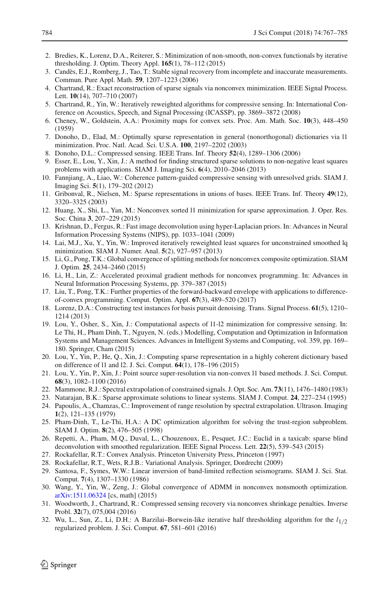- <span id="page-17-22"></span>2. Bredies, K., Lorenz, D.A., Reiterer, S.: Minimization of non-smooth, non-convex functionals by iterative thresholding. J. Optim. Theory Appl. **165**(1), 78–112 (2015)
- <span id="page-17-0"></span>3. Candès, E.J., Romberg, J., Tao, T.: Stable signal recovery from incomplete and inaccurate measurements. Commun. Pure Appl. Math. **59**, 1207–1223 (2006)
- <span id="page-17-8"></span>4. Chartrand, R.: Exact reconstruction of sparse signals via nonconvex minimization. IEEE Signal Process. Lett. **10**(14), 707–710 (2007)
- <span id="page-17-9"></span>5. Chartrand, R., Yin, W.: Iteratively reweighted algorithms for compressive sensing. In: International Conference on Acoustics, Speech, and Signal Processing (ICASSP), pp. 3869–3872 (2008)
- <span id="page-17-29"></span>6. Cheney, W., Goldstein, A.A.: Proximity maps for convex sets. Proc. Am. Math. Soc. **10**(3), 448–450 (1959)
- <span id="page-17-6"></span>7. Donoho, D., Elad, M.: Optimally sparse representation in general (nonorthogonal) dictionaries via l1 minimization. Proc. Natl. Acad. Sci. U.S.A. **100**, 2197–2202 (2003)
- <span id="page-17-1"></span>8. Donoho, D.L.: Compressed sensing. IEEE Trans. Inf. Theory **52**(4), 1289–1306 (2006)
- <span id="page-17-13"></span>9. Esser, E., Lou, Y., Xin, J.: A method for finding structured sparse solutions to non-negative least squares problems with applications. SIAM J. Imaging Sci. **6**(4), 2010–2046 (2013)
- <span id="page-17-27"></span>10. Fannjiang, A., Liao, W.: Coherence pattern-guided compressive sensing with unresolved grids. SIAM J. Imaging Sci. **5**(1), 179–202 (2012)
- <span id="page-17-7"></span>11. Gribonval, R., Nielsen, M.: Sparse representations in unions of bases. IEEE Trans. Inf. Theory **49**(12), 3320–3325 (2003)
- <span id="page-17-15"></span>12. Huang, X., Shi, L., Yan, M.: Nonconvex sorted l1 minimization for sparse approximation. J. Oper. Res. Soc. China **3**, 207–229 (2015)
- <span id="page-17-10"></span>13. Krishnan, D., Fergus, R.: Fast image deconvolution using hyper-Laplacian priors. In: Advances in Neural Information Processing Systems (NIPS), pp. 1033–1041 (2009)
- <span id="page-17-11"></span>14. Lai, M.J., Xu, Y., Yin, W.: Improved iteratively reweighted least squares for unconstrained smoothed lq minimization. SIAM J. Numer. Anal. **5**(2), 927–957 (2013)
- <span id="page-17-25"></span>15. Li, G., Pong, T.K.: Global convergence of splitting methods for nonconvex composite optimization. SIAM J. Optim. **25**, 2434–2460 (2015)
- <span id="page-17-23"></span>16. Li, H., Lin, Z.: Accelerated proximal gradient methods for nonconvex programming. In: Advances in Neural Information Processing Systems, pp. 379–387 (2015)
- <span id="page-17-21"></span>17. Liu, T., Pong, T.K.: Further properties of the forward-backward envelope with applications to differenceof-convex programming. Comput. Optim. Appl. **67**(3), 489–520 (2017)
- <span id="page-17-28"></span>18. Lorenz, D.A.: Constructing test instances for basis pursuit denoising. Trans. Signal Process. **61**(5), 1210– 1214 (2013)
- <span id="page-17-17"></span>19. Lou, Y., Osher, S., Xin, J.: Computational aspects of l1-l2 minimization for compressive sensing. In: Le Thi, H., Pham Dinh, T., Nguyen, N. (eds.) Modelling, Computation and Optimization in Information Systems and Management Sciences. Advances in Intelligent Systems and Computing, vol. 359, pp. 169– 180. Springer, Cham (2015)
- <span id="page-17-18"></span>20. Lou, Y., Yin, P., He, Q., Xin, J.: Computing sparse representation in a highly coherent dictionary based on difference of l1 and l2. J. Sci. Comput. **64**(1), 178–196 (2015)
- <span id="page-17-16"></span>21. Lou, Y., Yin, P., Xin, J.: Point source super-resolution via non-convex l1 based methods. J. Sci. Comput. **68**(3), 1082–1100 (2016)
- <span id="page-17-4"></span>22. Mammone, R.J.: Spectral extrapolation of constrained signals. J. Opt. Soc. Am. **73**(11), 1476–1480 (1983)
- <span id="page-17-2"></span>23. Natarajan, B.K.: Sparse approximate solutions to linear systems. SIAM J. Comput. **24**, 227–234 (1995)
- <span id="page-17-5"></span>24. Papoulis, A., Chamzas, C.: Improvement of range resolution by spectral extrapolation. Ultrason. Imaging **1**(2), 121–135 (1979)
- <span id="page-17-19"></span>25. Pham-Dinh, T., Le-Thi, H.A.: A DC optimization algorithm for solving the trust-region subproblem. SIAM J. Optim. **8**(2), 476–505 (1998)
- <span id="page-17-14"></span>26. Repetti, A., Pham, M.Q., Duval, L., Chouzenoux, E., Pesquet, J.C.: Euclid in a taxicab: sparse blind deconvolution with smoothed regularization. IEEE Signal Process. Lett. **22**(5), 539–543 (2015)
- <span id="page-17-20"></span>27. Rockafellar, R.T.: Convex Analysis. Princeton University Press, Princeton (1997)
- <span id="page-17-24"></span>28. Rockafellar, R.T., Wets, R.J.B.: Variational Analysis. Springer, Dordrecht (2009)
- <span id="page-17-3"></span>29. Santosa, F., Symes, W.W.: Linear inversion of band-limited reflection seismograms. SIAM J. Sci. Stat. Comput. **7**(4), 1307–1330 (1986)
- <span id="page-17-26"></span>30. Wang, Y., Yin, W., Zeng, J.: Global convergence of ADMM in nonconvex nonsmooth optimization. [arXiv:1511.06324](http://arxiv.org/abs/1511.06324) [cs, math] (2015)
- <span id="page-17-12"></span>31. Woodworth, J., Chartrand, R.: Compressed sensing recovery via nonconvex shrinkage penalties. Inverse Probl. **32**(7), 075,004 (2016)
- 32. Wu, L., Sun, Z., Li, D.H.: A Barzilai–Borwein-like iterative half thresholding algorithm for the *l*1/2 regularized problem. J. Sci. Comput. **67**, 581–601 (2016)